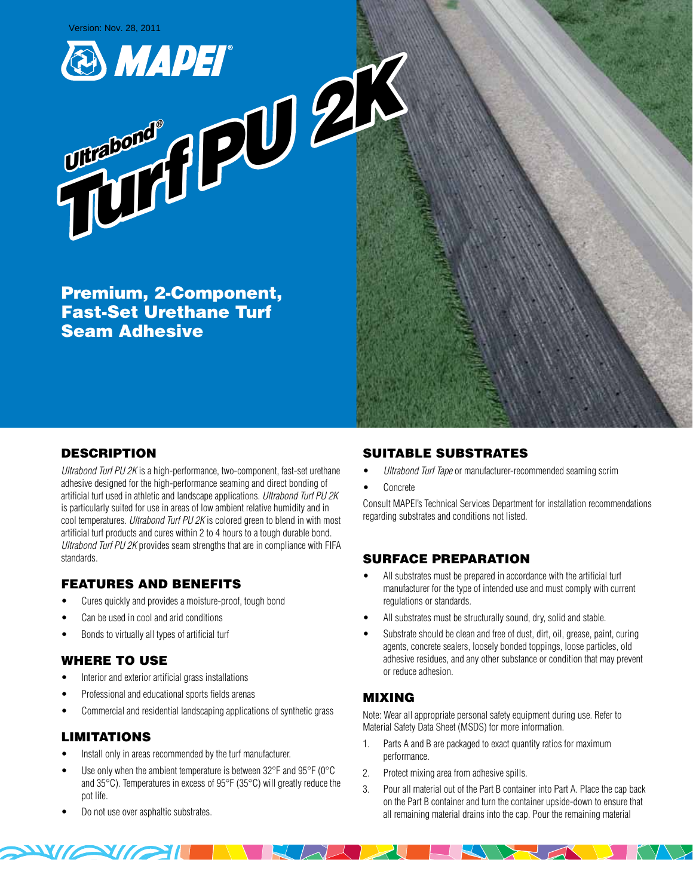Version: Nov. 28, 2011

 *Ultrabond ®*

**Ultrabonded** 



Premium, 2-Component, Fast-Set Urethane Turf Seam Adhesive



# **DESCRIPTION**

Ultrabond Turf PU 2K is a high-performance, two-component, fast-set urethane adhesive designed for the high-performance seaming and direct bonding of artificial turf used in athletic and landscape applications. Ultrabond Turf PU 2K is particularly suited for use in areas of low ambient relative humidity and in cool temperatures. Ultrabond Turf PU 2K is colored green to blend in with most artificial turf products and cures within 2 to 4 hours to a tough durable bond. Ultrabond Turf PU 2K provides seam strengths that are in compliance with FIFA standards.

# Features and Benefits

- Cures quickly and provides a moisture-proof, tough bond
- Can be used in cool and arid conditions
- Bonds to virtually all types of artificial turf

## WHERE TO USE

- Interior and exterior artificial grass installations
- Professional and educational sports fields arenas
- Commercial and residential landscaping applications of synthetic grass

## Limitations

- Install only in areas recommended by the turf manufacturer.
- Use only when the ambient temperature is between  $32^{\circ}$ F and  $95^{\circ}$ F (0°C and 35°C). Temperatures in excess of 95°F (35°C) will greatly reduce the pot life.
- Do not use over asphaltic substrates.

**EXPLOSITION** 

## Suitable Substrates

- Ultrabond Turf Tape or manufacturer-recommended seaming scrim
- **Concrete**

Consult MAPEI's Technical Services Department for installation recommendations regarding substrates and conditions not listed.

## Surface Preparation

- All substrates must be prepared in accordance with the artificial turf manufacturer for the type of intended use and must comply with current regulations or standards.
- All substrates must be structurally sound, dry, solid and stable.
- Substrate should be clean and free of dust, dirt, oil, grease, paint, curing agents, concrete sealers, loosely bonded toppings, loose particles, old adhesive residues, and any other substance or condition that may prevent or reduce adhesion.

## Mixing

 $\sim$  /  $\sim$  /  $\sim$ 

Note: Wear all appropriate personal safety equipment during use. Refer to Material Safety Data Sheet (MSDS) for more information.

- 1. Parts A and B are packaged to exact quantity ratios for maximum performance.
- 2. Protect mixing area from adhesive spills.
- 3. Pour all material out of the Part B container into Part A. Place the cap back on the Part B container and turn the container upside-down to ensure that all remaining material drains into the cap. Pour the remaining material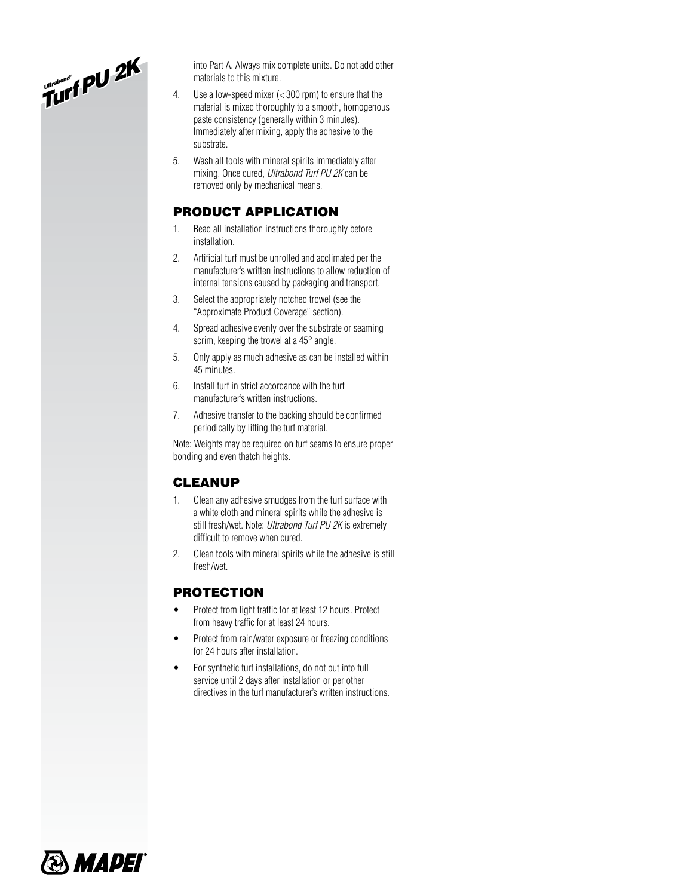*Ultrabond ® Turf PU 2K*

 into Part A. Always mix complete units. Do not add other materials to this mixture.

- 4. Use a low-speed mixer (< 300 rpm) to ensure that the material is mixed thoroughly to a smooth, homogenous paste consistency (generally within 3 minutes). Immediately after mixing, apply the adhesive to the substrate.
- 5. Wash all tools with mineral spirits immediately after mixing. Once cured, Ultrabond Turf PU 2K can be removed only by mechanical means.

## Product Application

- 1. Read all installation instructions thoroughly before installation.
- 2. Artificial turf must be unrolled and acclimated per the manufacturer's written instructions to allow reduction of internal tensions caused by packaging and transport.
- 3. Select the appropriately notched trowel (see the "Approximate Product Coverage" section).
- 4. Spread adhesive evenly over the substrate or seaming scrim, keeping the trowel at a 45° angle.
- 5. Only apply as much adhesive as can be installed within 45 minutes.
- 6. Install turf in strict accordance with the turf manufacturer's written instructions.
- 7. Adhesive transfer to the backing should be confirmed periodically by lifting the turf material.

Note: Weights may be required on turf seams to ensure proper bonding and even thatch heights.

### **CLEANUP**

- 1. Clean any adhesive smudges from the turf surface with a white cloth and mineral spirits while the adhesive is still fresh/wet. Note: Ultrabond Turf PU 2K is extremely difficult to remove when cured.
- 2. Clean tools with mineral spirits while the adhesive is still fresh/wet.

# **PROTECTION**

- Protect from light traffic for at least 12 hours. Protect from heavy traffic for at least 24 hours.
- Protect from rain/water exposure or freezing conditions for 24 hours after installation.
- For synthetic turf installations, do not put into full service until 2 days after installation or per other directives in the turf manufacturer's written instructions.

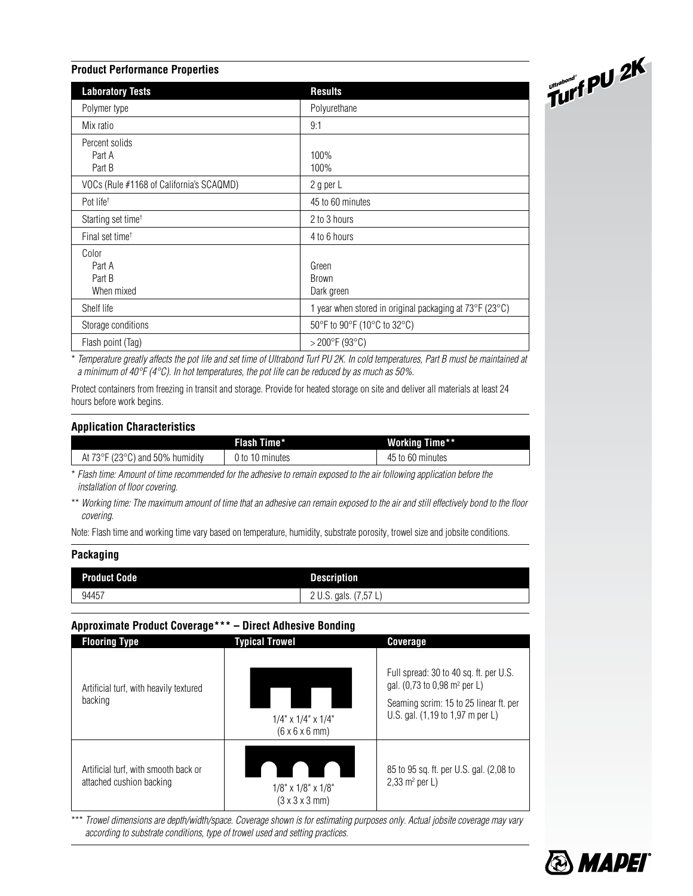#### **Product Performance Properties**

| <b>Laboratory Tests</b>                  | <b>Results</b>                                                         |
|------------------------------------------|------------------------------------------------------------------------|
| Polymer type                             | Polyurethane                                                           |
| Mix ratio                                | 9:1                                                                    |
| Percent solids<br>Part A<br>Part B       | 100%<br>100%                                                           |
| VOCs (Rule #1168 of California's SCAQMD) | 2 g per L                                                              |
| Pot life <sup>+</sup>                    | 45 to 60 minutes                                                       |
| Starting set time <sup>+</sup>           | 2 to 3 hours                                                           |
| Final set time <sup>t</sup>              | 4 to 6 hours                                                           |
| Color<br>Part A<br>Part B<br>When mixed  | Green<br><b>Brown</b><br>Dark green                                    |
| Shelf life                               | 1 year when stored in original packaging at $73^{\circ}F(23^{\circ}C)$ |
| Storage conditions                       | 50°F to 90°F (10°C to 32°C)                                            |
| Flash point (Tag)                        | $>$ 200 $^{\circ}$ F (93 $^{\circ}$ C)                                 |

\* Temperature greatly affects the pot life and set time of Ultrabond Turf PU 2K. In cold temperatures, Part B must be maintained at a minimum of  $40^{\circ}F(4^{\circ}C)$ . In hot temperatures, the pot life can be reduced by as much as 50%.

Protect containers from freezing in transit and storage. Provide for heated storage on site and deliver all materials at least 24 hours before work begins.

#### **Application Characteristics**

|                                                      | Flash Time*     | <b>Working Time**</b> |
|------------------------------------------------------|-----------------|-----------------------|
| At $73^{\circ}$ F (23 $^{\circ}$ C) and 50% humidity | J to 10 minutes | 45 to 60 minutes      |

\* Flash time: Amount of time recommended for the adhesive to remain exposed to the air following application before the installation of floor covering.

\*\* Working time: The maximum amount of time that an adhesive can remain exposed to the air and still effectively bond to the floor covering.

Note: Flash time and working time vary based on temperature, humidity, substrate porosity, trowel size and jobsite conditions.

### **Packaging**

| <b>Product Code</b> | <b>Description</b>          |
|---------------------|-----------------------------|
| 94457               | (7.57)<br>2 U.S. gals.<br>╶ |

### **Approximate Product Coverage\*\*\* – Direct Adhesive Bonding**

| <b>Flooring Type</b>                                             | Typical Trowel                                                    | <b>Coverage</b>                                                                                                                                                  |
|------------------------------------------------------------------|-------------------------------------------------------------------|------------------------------------------------------------------------------------------------------------------------------------------------------------------|
| Artificial turf, with heavily textured<br>backing                | $1/4$ " x $1/4$ " x $1/4$ "<br>$(6 \times 6 \times 6 \text{ mm})$ | Full spread: 30 to 40 sq. ft. per U.S.<br>gal. (0,73 to 0,98 m <sup>2</sup> per L)<br>Seaming scrim: 15 to 25 linear ft. per<br>U.S. gal. (1,19 to 1,97 m per L) |
| Artificial turf, with smooth back or<br>attached cushion backing | $1/8"$ x $1/8"$ x $1/8"$<br>$(3 \times 3 \times 3 \text{ mm})$    | 85 to 95 sq. ft. per U.S. gal. (2,08 to<br>$2,33 \text{ m}^2 \text{ per L}$                                                                                      |

\*\*\* Trowel dimensions are depth/width/space. Coverage shown is for estimating purposes only. Actual jobsite coverage may vary according to substrate conditions, type of trowel used and setting practices.



 *Ultrabond ® Turf* 

*PU 2K*